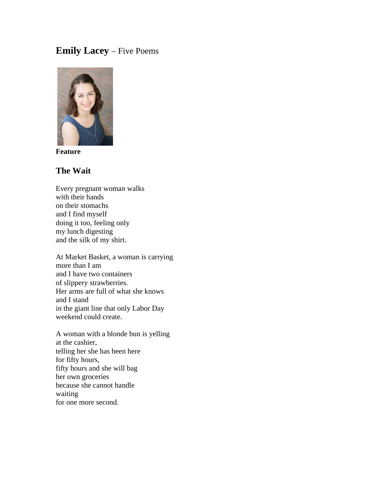# **Emily Lacey** – Five Poems



**Feature**

#### **The Wait**

Every pregnant woman walks with their hands on their stomachs and I find myself doing it too, feeling only my lunch digesting and the silk of my shirt.

At Market Basket, a woman is carrying more than I am and I have two containers of slippery strawberries. Her arms are full of what she knows and I stand in the giant line that only Labor Day weekend could create.

A woman with a blonde bun is yelling at the cashier, telling her she has been here for fifty hours, fifty hours and she will bag her own groceries because she cannot handle waiting for one more second.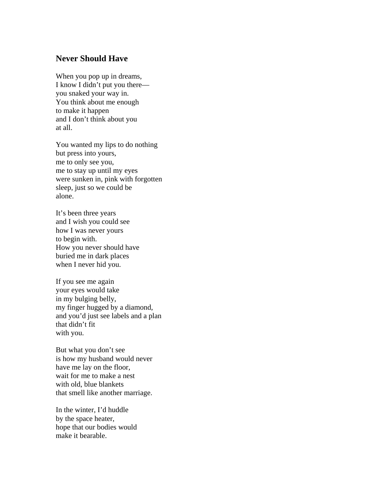### **Never Should Have**

When you pop up in dreams, I know I didn't put you there you snaked your way in. You think about me enough to make it happen and I don't think about you at all.

You wanted my lips to do nothing but press into yours, me to only see you, me to stay up until my eyes were sunken in, pink with forgotten sleep, just so we could be alone.

It's been three years and I wish you could see how I was never yours to begin with. How you never should have buried me in dark places when I never hid you.

If you see me again your eyes would take in my bulging belly, my finger hugged by a diamond, and you'd just see labels and a plan that didn't fit with you.

But what you don't see is how my husband would never have me lay on the floor, wait for me to make a nest with old, blue blankets that smell like another marriage.

In the winter, I'd huddle by the space heater, hope that our bodies would make it bearable.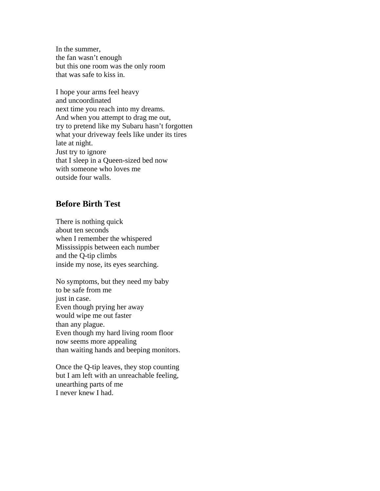In the summer, the fan wasn't enough but this one room was the only room that was safe to kiss in.

I hope your arms feel heavy and uncoordinated next time you reach into my dreams. And when you attempt to drag me out, try to pretend like my Subaru hasn't forgotten what your driveway feels like under its tires late at night. Just try to ignore that I sleep in a Queen-sized bed now with someone who loves me outside four walls.

#### **Before Birth Test**

There is nothing quick about ten seconds when I remember the whispered Mississippis between each number and the Q-tip climbs inside my nose, its eyes searching.

No symptoms, but they need my baby to be safe from me just in case. Even though prying her away would wipe me out faster than any plague. Even though my hard living room floor now seems more appealing than waiting hands and beeping monitors.

Once the Q-tip leaves, they stop counting but I am left with an unreachable feeling, unearthing parts of me I never knew I had.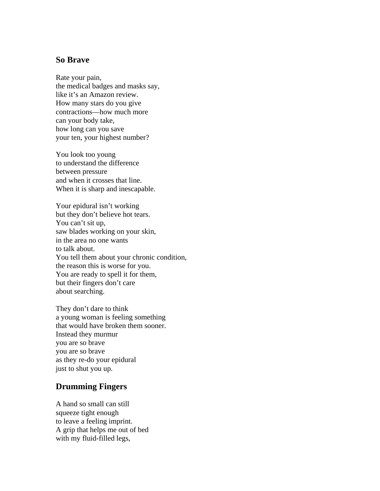#### **So Brave**

Rate your pain, the medical badges and masks say, like it's an Amazon review. How many stars do you give contractions—how much more can your body take, how long can you save your ten, your highest number?

You look too young to understand the difference between pressure and when it crosses that line. When it is sharp and inescapable.

Your epidural isn't working but they don't believe hot tears. You can't sit up, saw blades working on your skin, in the area no one wants to talk about. You tell them about your chronic condition, the reason this is worse for you. You are ready to spell it for them, but their fingers don't care about searching.

They don't dare to think a young woman is feeling something that would have broken them sooner. Instead they murmur you are so brave you are so brave as they re-do your epidural just to shut you up.

## **Drumming Fingers**

A hand so small can still squeeze tight enough to leave a feeling imprint. A grip that helps me out of bed with my fluid-filled legs,